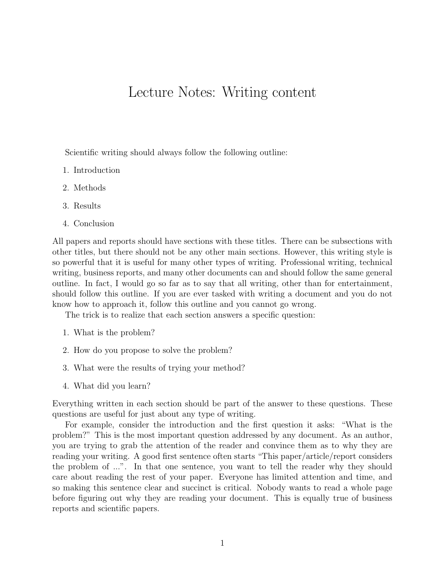## Lecture Notes: Writing content

Scientific writing should always follow the following outline:

- 1. Introduction
- 2. Methods
- 3. Results
- 4. Conclusion

All papers and reports should have sections with these titles. There can be subsections with other titles, but there should not be any other main sections. However, this writing style is so powerful that it is useful for many other types of writing. Professional writing, technical writing, business reports, and many other documents can and should follow the same general outline. In fact, I would go so far as to say that all writing, other than for entertainment, should follow this outline. If you are ever tasked with writing a document and you do not know how to approach it, follow this outline and you cannot go wrong.

The trick is to realize that each section answers a specific question:

- 1. What is the problem?
- 2. How do you propose to solve the problem?
- 3. What were the results of trying your method?
- 4. What did you learn?

Everything written in each section should be part of the answer to these questions. These questions are useful for just about any type of writing.

For example, consider the introduction and the first question it asks: "What is the problem?" This is the most important question addressed by any document. As an author, you are trying to grab the attention of the reader and convince them as to why they are reading your writing. A good first sentence often starts "This paper/article/report considers the problem of ...". In that one sentence, you want to tell the reader why they should care about reading the rest of your paper. Everyone has limited attention and time, and so making this sentence clear and succinct is critical. Nobody wants to read a whole page before figuring out why they are reading your document. This is equally true of business reports and scientific papers.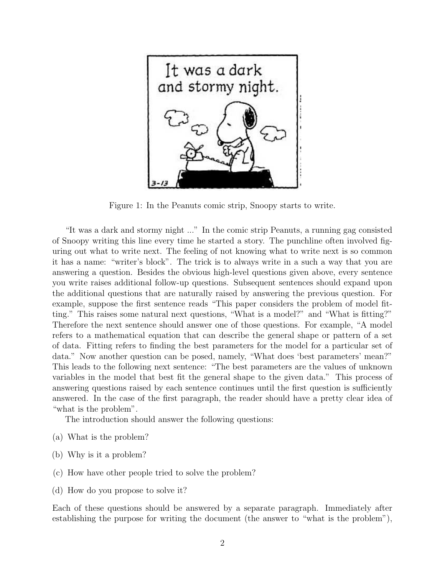

Figure 1: In the Peanuts comic strip, Snoopy starts to write.

"It was a dark and stormy night ..." In the comic strip Peanuts, a running gag consisted of Snoopy writing this line every time he started a story. The punchline often involved figuring out what to write next. The feeling of not knowing what to write next is so common it has a name: "writer's block". The trick is to always write in a such a way that you are answering a question. Besides the obvious high-level questions given above, every sentence you write raises additional follow-up questions. Subsequent sentences should expand upon the additional questions that are naturally raised by answering the previous question. For example, suppose the first sentence reads "This paper considers the problem of model fitting." This raises some natural next questions, "What is a model?" and "What is fitting?" Therefore the next sentence should answer one of those questions. For example, "A model refers to a mathematical equation that can describe the general shape or pattern of a set of data. Fitting refers to finding the best parameters for the model for a particular set of data." Now another question can be posed, namely, "What does 'best parameters' mean?" This leads to the following next sentence: "The best parameters are the values of unknown variables in the model that best fit the general shape to the given data." This process of answering questions raised by each sentence continues until the first question is sufficiently answered. In the case of the first paragraph, the reader should have a pretty clear idea of "what is the problem".

The introduction should answer the following questions:

- (a) What is the problem?
- (b) Why is it a problem?
- (c) How have other people tried to solve the problem?
- (d) How do you propose to solve it?

Each of these questions should be answered by a separate paragraph. Immediately after establishing the purpose for writing the document (the answer to "what is the problem"),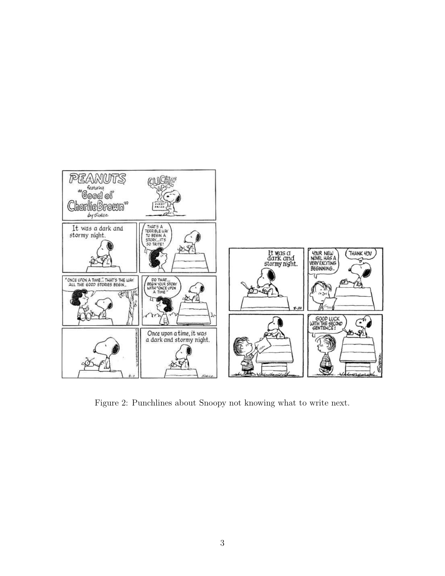

Figure 2: Punchlines about Snoopy not knowing what to write next.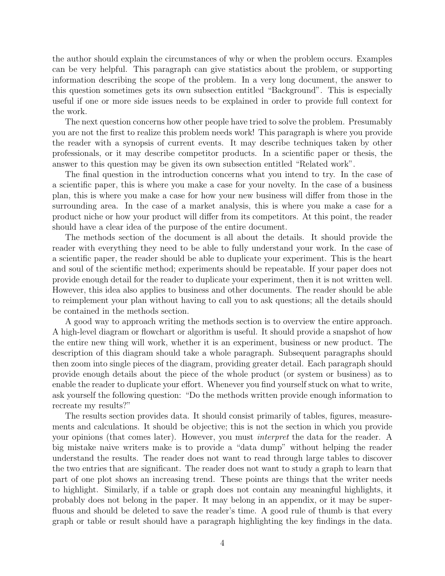the author should explain the circumstances of why or when the problem occurs. Examples can be very helpful. This paragraph can give statistics about the problem, or supporting information describing the scope of the problem. In a very long document, the answer to this question sometimes gets its own subsection entitled "Background". This is especially useful if one or more side issues needs to be explained in order to provide full context for the work.

The next question concerns how other people have tried to solve the problem. Presumably you are not the first to realize this problem needs work! This paragraph is where you provide the reader with a synopsis of current events. It may describe techniques taken by other professionals, or it may describe competitor products. In a scientific paper or thesis, the answer to this question may be given its own subsection entitled "Related work".

The final question in the introduction concerns what you intend to try. In the case of a scientific paper, this is where you make a case for your novelty. In the case of a business plan, this is where you make a case for how your new business will differ from those in the surrounding area. In the case of a market analysis, this is where you make a case for a product niche or how your product will differ from its competitors. At this point, the reader should have a clear idea of the purpose of the entire document.

The methods section of the document is all about the details. It should provide the reader with everything they need to be able to fully understand your work. In the case of a scientific paper, the reader should be able to duplicate your experiment. This is the heart and soul of the scientific method; experiments should be repeatable. If your paper does not provide enough detail for the reader to duplicate your experiment, then it is not written well. However, this idea also applies to business and other documents. The reader should be able to reimplement your plan without having to call you to ask questions; all the details should be contained in the methods section.

A good way to approach writing the methods section is to overview the entire approach. A high-level diagram or flowchart or algorithm is useful. It should provide a snapshot of how the entire new thing will work, whether it is an experiment, business or new product. The description of this diagram should take a whole paragraph. Subsequent paragraphs should then zoom into single pieces of the diagram, providing greater detail. Each paragraph should provide enough details about the piece of the whole product (or system or business) as to enable the reader to duplicate your effort. Whenever you find yourself stuck on what to write, ask yourself the following question: "Do the methods written provide enough information to recreate my results?"

The results section provides data. It should consist primarily of tables, figures, measurements and calculations. It should be objective; this is not the section in which you provide your opinions (that comes later). However, you must interpret the data for the reader. A big mistake naive writers make is to provide a "data dump" without helping the reader understand the results. The reader does not want to read through large tables to discover the two entries that are significant. The reader does not want to study a graph to learn that part of one plot shows an increasing trend. These points are things that the writer needs to highlight. Similarly, if a table or graph does not contain any meaningful highlights, it probably does not belong in the paper. It may belong in an appendix, or it may be superfluous and should be deleted to save the reader's time. A good rule of thumb is that every graph or table or result should have a paragraph highlighting the key findings in the data.